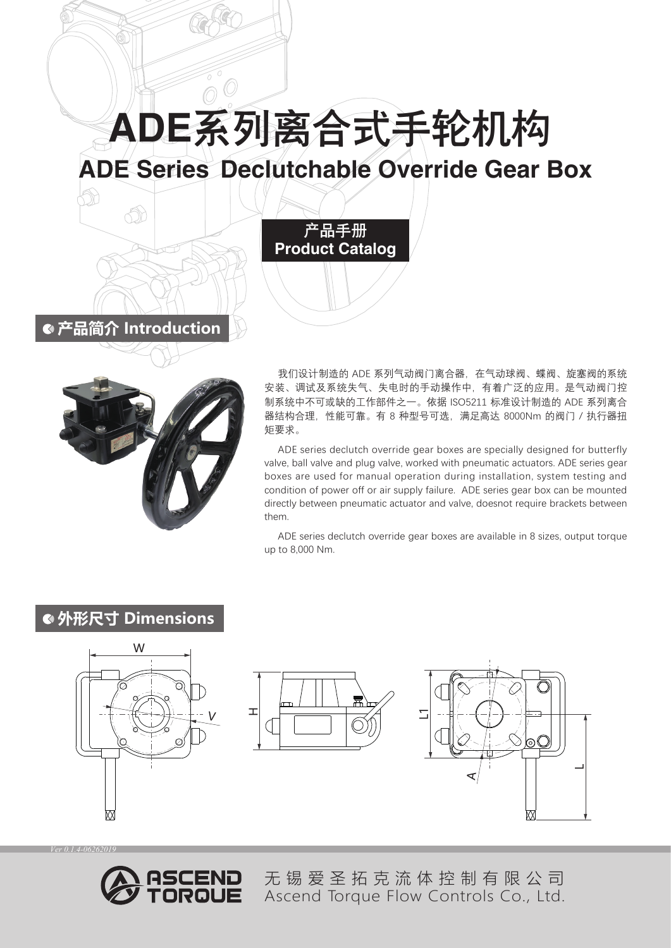ADE系列离合式手轮机构

# ADE Series Declutchable Override Gear Box

产品手册 Product Catalog



**产品简介 Introduction**

đ

我们设计制造的 ADE 系列气动阀门离合器, 在气动球阀、蝶阀、旋塞阀的系统 安装、调试及系统失气、失电时的手动操作中,有着广泛的应用。是气动阀门控 制系统中不可或缺的工作部件之一。依据 ISO5211 标准设计制造的 ADE 系列离合 器结构合理,性能可靠。有 8 种型号可选,满足高达 8000Nm 的阀门 / 执行器扭 矩要求。

ADE series declutch override gear boxes are specially designed for butterfly valve, ball valve and plug valve, worked with pneumatic actuators. ADE series gear boxes are used for manual operation during installation, system testing and condition of power off or air supply failure. ADE series gear box can be mounted directly between pneumatic actuator and valve, doesnot require brackets between them.

ADE series declutch override gear boxes are available in 8 sizes, output torque up to 8,000 Nm.

### **外形尺寸 Dimensions**







*Ver 0.1.4-06262019*



无锡爱圣拓克流体控制有限公司 Ascend Torque Flow Controls Co., Ltd.